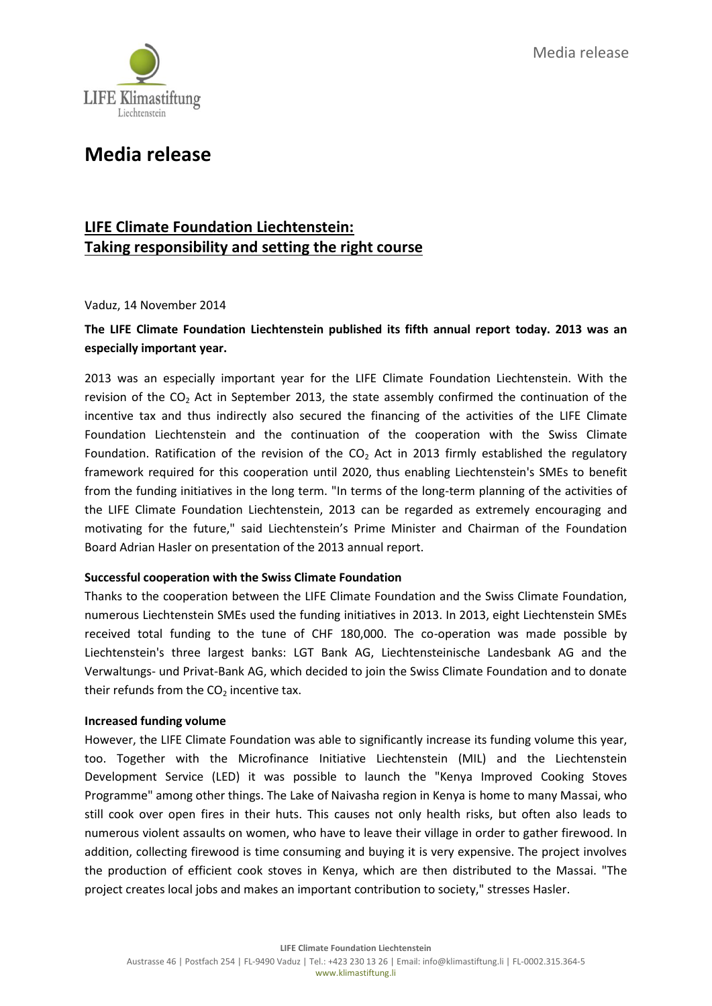Media release



# **Media release**

### **LIFE Climate Foundation Liechtenstein: Taking responsibility and setting the right course**

Vaduz, 14 November 2014

### **The LIFE Climate Foundation Liechtenstein published its fifth annual report today. 2013 was an especially important year.**

2013 was an especially important year for the LIFE Climate Foundation Liechtenstein. With the revision of the  $CO<sub>2</sub>$  Act in September 2013, the state assembly confirmed the continuation of the incentive tax and thus indirectly also secured the financing of the activities of the LIFE Climate Foundation Liechtenstein and the continuation of the cooperation with the Swiss Climate Foundation. Ratification of the revision of the  $CO<sub>2</sub>$  Act in 2013 firmly established the regulatory framework required for this cooperation until 2020, thus enabling Liechtenstein's SMEs to benefit from the funding initiatives in the long term. "In terms of the long-term planning of the activities of the LIFE Climate Foundation Liechtenstein, 2013 can be regarded as extremely encouraging and motivating for the future," said Liechtenstein's Prime Minister and Chairman of the Foundation Board Adrian Hasler on presentation of the 2013 annual report.

#### **Successful cooperation with the Swiss Climate Foundation**

Thanks to the cooperation between the LIFE Climate Foundation and the Swiss Climate Foundation, numerous Liechtenstein SMEs used the funding initiatives in 2013. In 2013, eight Liechtenstein SMEs received total funding to the tune of CHF 180,000. The co-operation was made possible by Liechtenstein's three largest banks: LGT Bank AG, Liechtensteinische Landesbank AG and the Verwaltungs- und Privat-Bank AG, which decided to join the Swiss Climate Foundation and to donate their refunds from the  $CO<sub>2</sub>$  incentive tax.

#### **Increased funding volume**

However, the LIFE Climate Foundation was able to significantly increase its funding volume this year, too. Together with the Microfinance Initiative Liechtenstein (MIL) and the Liechtenstein Development Service (LED) it was possible to launch the "Kenya Improved Cooking Stoves Programme" among other things. The Lake of Naivasha region in Kenya is home to many Massai, who still cook over open fires in their huts. This causes not only health risks, but often also leads to numerous violent assaults on women, who have to leave their village in order to gather firewood. In addition, collecting firewood is time consuming and buying it is very expensive. The project involves the production of efficient cook stoves in Kenya, which are then distributed to the Massai. "The project creates local jobs and makes an important contribution to society," stresses Hasler.

**LIFE Climate Foundation Liechtenstein**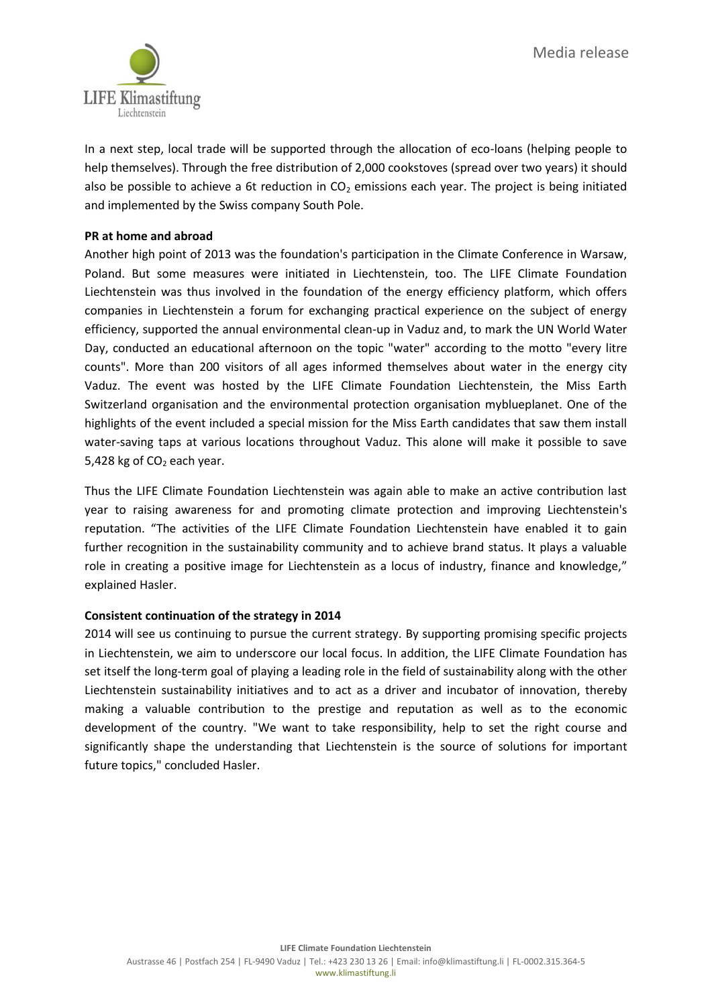

In a next step, local trade will be supported through the allocation of eco-loans (helping people to help themselves). Through the free distribution of 2,000 cookstoves (spread over two years) it should also be possible to achieve a 6t reduction in  $CO<sub>2</sub>$  emissions each year. The project is being initiated and implemented by the Swiss company South Pole.

#### **PR at home and abroad**

Another high point of 2013 was the foundation's participation in the Climate Conference in Warsaw, Poland. But some measures were initiated in Liechtenstein, too. The LIFE Climate Foundation Liechtenstein was thus involved in the foundation of the energy efficiency platform, which offers companies in Liechtenstein a forum for exchanging practical experience on the subject of energy efficiency, supported the annual environmental clean-up in Vaduz and, to mark the UN World Water Day, conducted an educational afternoon on the topic "water" according to the motto "every litre counts". More than 200 visitors of all ages informed themselves about water in the energy city Vaduz. The event was hosted by the LIFE Climate Foundation Liechtenstein, the Miss Earth Switzerland organisation and the environmental protection organisation myblueplanet. One of the highlights of the event included a special mission for the Miss Earth candidates that saw them install water-saving taps at various locations throughout Vaduz. This alone will make it possible to save 5,428 kg of  $CO<sub>2</sub>$  each year.

Thus the LIFE Climate Foundation Liechtenstein was again able to make an active contribution last year to raising awareness for and promoting climate protection and improving Liechtenstein's reputation. "The activities of the LIFE Climate Foundation Liechtenstein have enabled it to gain further recognition in the sustainability community and to achieve brand status. It plays a valuable role in creating a positive image for Liechtenstein as a locus of industry, finance and knowledge," explained Hasler.

#### **Consistent continuation of the strategy in 2014**

2014 will see us continuing to pursue the current strategy. By supporting promising specific projects in Liechtenstein, we aim to underscore our local focus. In addition, the LIFE Climate Foundation has set itself the long-term goal of playing a leading role in the field of sustainability along with the other Liechtenstein sustainability initiatives and to act as a driver and incubator of innovation, thereby making a valuable contribution to the prestige and reputation as well as to the economic development of the country. "We want to take responsibility, help to set the right course and significantly shape the understanding that Liechtenstein is the source of solutions for important future topics," concluded Hasler.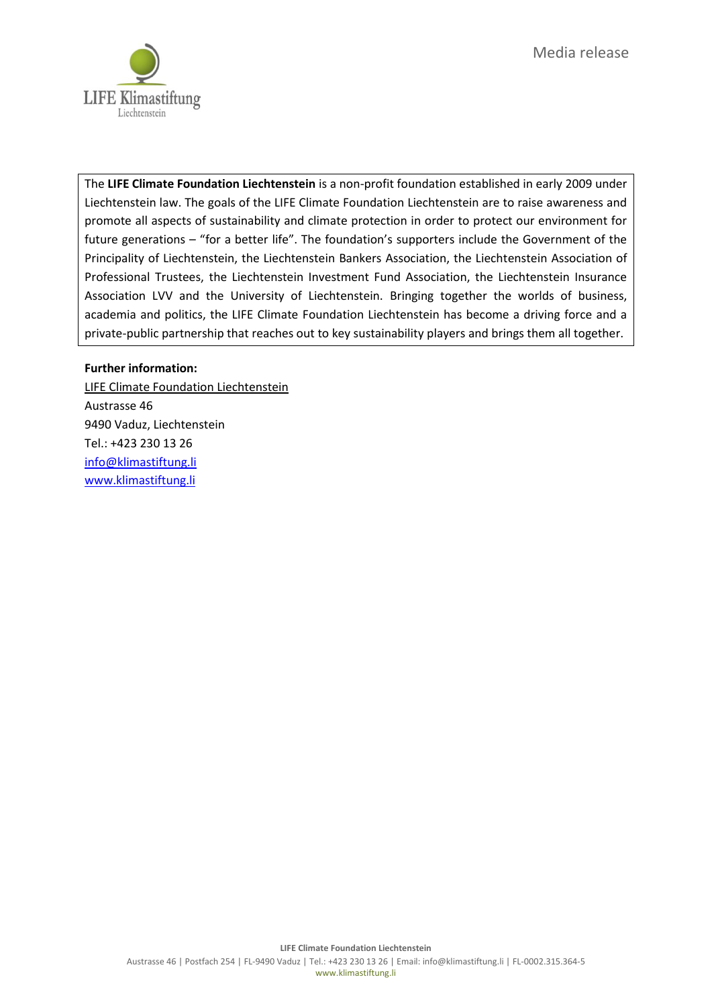

The **LIFE Climate Foundation Liechtenstein** is a non-profit foundation established in early 2009 under Liechtenstein law. The goals of the LIFE Climate Foundation Liechtenstein are to raise awareness and promote all aspects of sustainability and climate protection in order to protect our environment for future generations – "for a better life". The foundation's supporters include the Government of the Principality of Liechtenstein, the Liechtenstein Bankers Association, the Liechtenstein Association of Professional Trustees, the Liechtenstein Investment Fund Association, the Liechtenstein Insurance Association LVV and the University of Liechtenstein. Bringing together the worlds of business, academia and politics, the LIFE Climate Foundation Liechtenstein has become a driving force and a private-public partnership that reaches out to key sustainability players and brings them all together.

#### **Further information:**

LIFE Climate Foundation Liechtenstein Austrasse 46 9490 Vaduz, Liechtenstein Tel.: +423 230 13 26 [info@klimastiftung.li](mailto:info@klimastiftung.li) [www.klimastiftung.li](http://www.klimastiftung.li/)